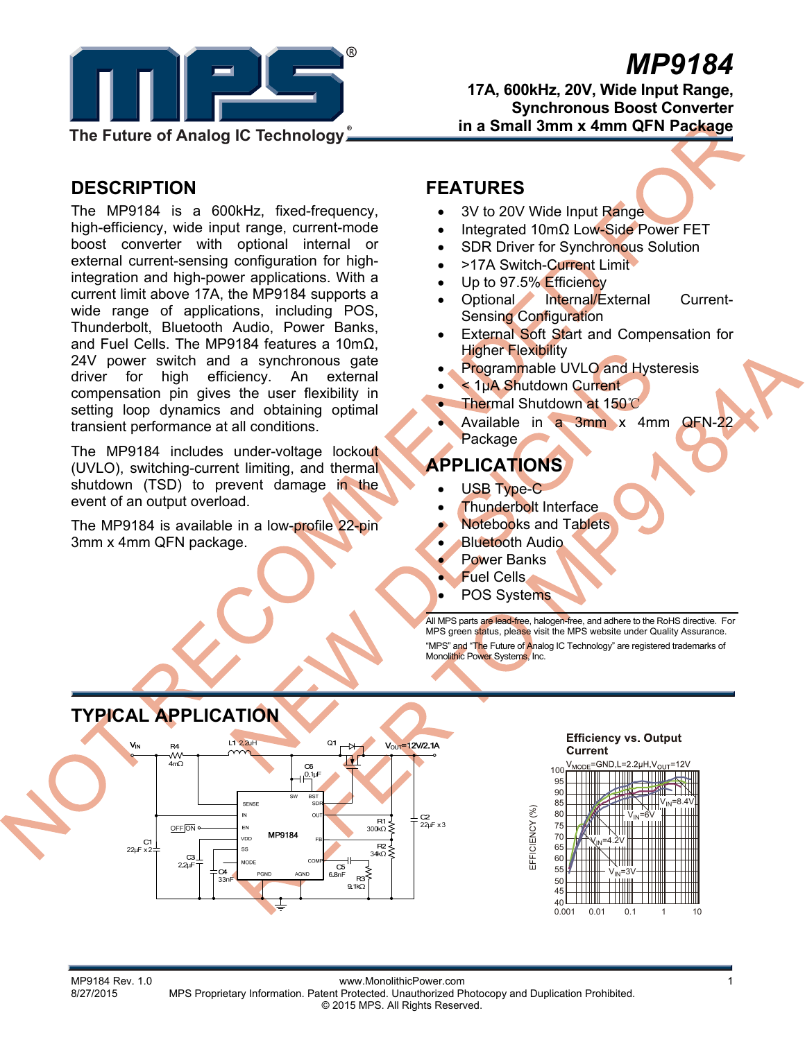

# *MP9184*

**17A, 600kHz, 20V, Wide Input Range, Synchronous Boost Converter in a Small 3mm x 4mm QFN Package** 

# **DESCRIPTION**

The MP9184 is a 600kHz, fixed-frequency, high-efficiency, wide input range, current-mode boost converter with optional internal or external current-sensing configuration for highintegration and high-power applications. With a current limit above 17A, the MP9184 supports a wide range of applications, including POS, Thunderbolt, Bluetooth Audio, Power Banks, and Fuel Cells. The MP9184 features a 10mΩ, 24V power switch and a synchronous gate driver for high efficiency. An external compensation pin gives the user flexibility in setting loop dynamics and obtaining optimal transient performance at all conditions.

The MP9184 includes under-voltage lockout (UVLO), switching-current limiting, and thermal shutdown (TSD) to prevent damage in the event of an output overload.

The MP9184 is available in a low-profile 22-pin 3mm x 4mm QFN package.

### **FEATURES**

- 3V to 20V Wide Input Range
- Integrated 10mΩ Low-Side Power FET
- SDR Driver for Synchronous Solution
- >17A Switch-Current Limit
- Up to 97.5% Efficiency
- Optional Internal/External Current-Sensing Configuration
- **External Soft Start and Compensation for** Higher Flexibility
- Programmable UVLO and Hysteresis
- < 1µA Shutdown Current
- Thermal Shutdown at 150℃
- Available in a 3mm x 4mm QFN-22 **Package**

# **APPLICATIONS**

- USB Type-C
- Thunderbolt Interface
- Notebooks and Tablets

EFFICIENCY (%)

- Bluetooth Audio
- Power Banks
- Fuel Cells
- POS Systems

All MPS parts are lead-free, halogen-free, and adhere to the RoHS directive. For MPS green status, please visit the MPS website under Quality Assurance. "MPS" and "The Future of Analog IC Technology" are registered trademarks of Monolithic Power Systems, Inc.







MP9184 Rev. 1.0<br>8/27/2015 MPS Proprietary Information Patent Protected Unauthorized Pro MPS Proprietary Information. Patent Protected. Unauthorized Photocopy and Duplication Prohibited. © 2015 MPS. All Rights Reserved.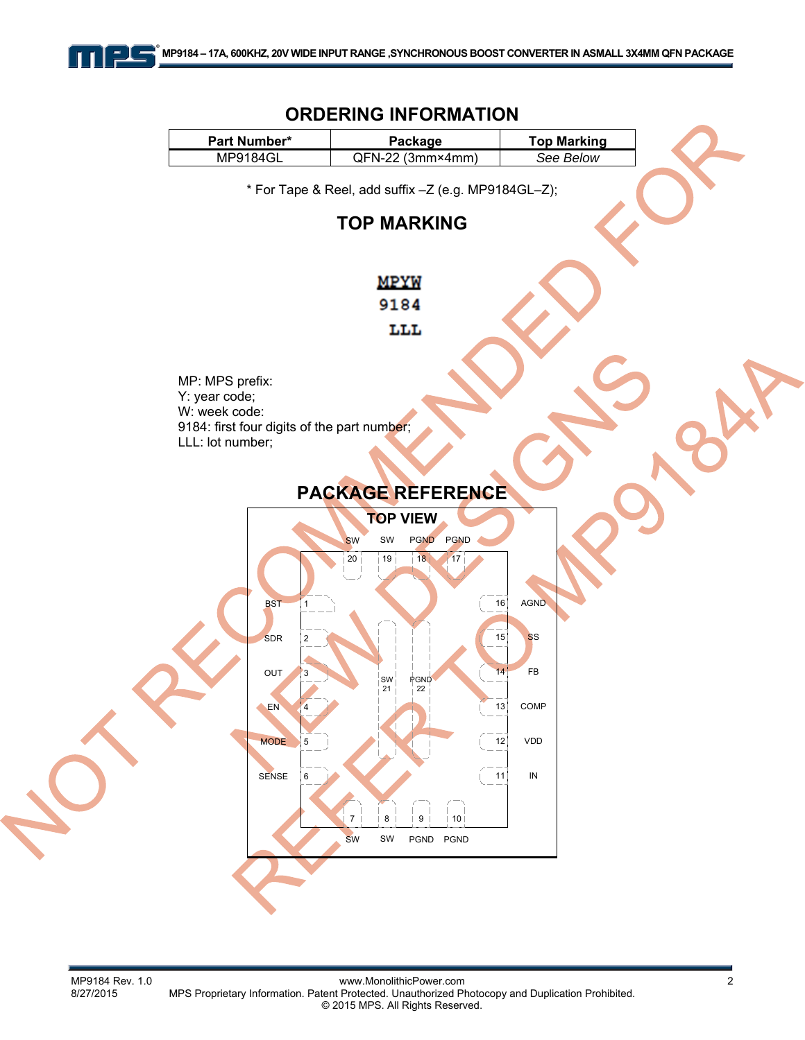

#### **ORDERING INFORMATION**  Part Number\* | **Package | Top Marking** MP9184GL QFN-22 (3mm×4mm) *See Below*  \* For Tape & Reel, add suffix –Z (e.g. MP9184GL–Z); **TOP MARKING MPYW** 9184 LLL MP: MPS prefix: Y: year code; W: week code: 9184: first four digits of the part number; LLL: lot number; **PACKAGE REFERENCE TOP VIEW**  SW SW PGND PGND 20 19 18 17 AGND **BST** 16 1 15 SDR SS 2 14 FB OUT 3 SW **PGND** 21 22COMP EN 13 4 MODE 5 12 VDD SENSE 11 IN 6  $7$   $\frac{1}{8}$   $\frac{1}{9}$   $\frac{1}{9}$   $\frac{1}{10}$ SW SW PGND PGND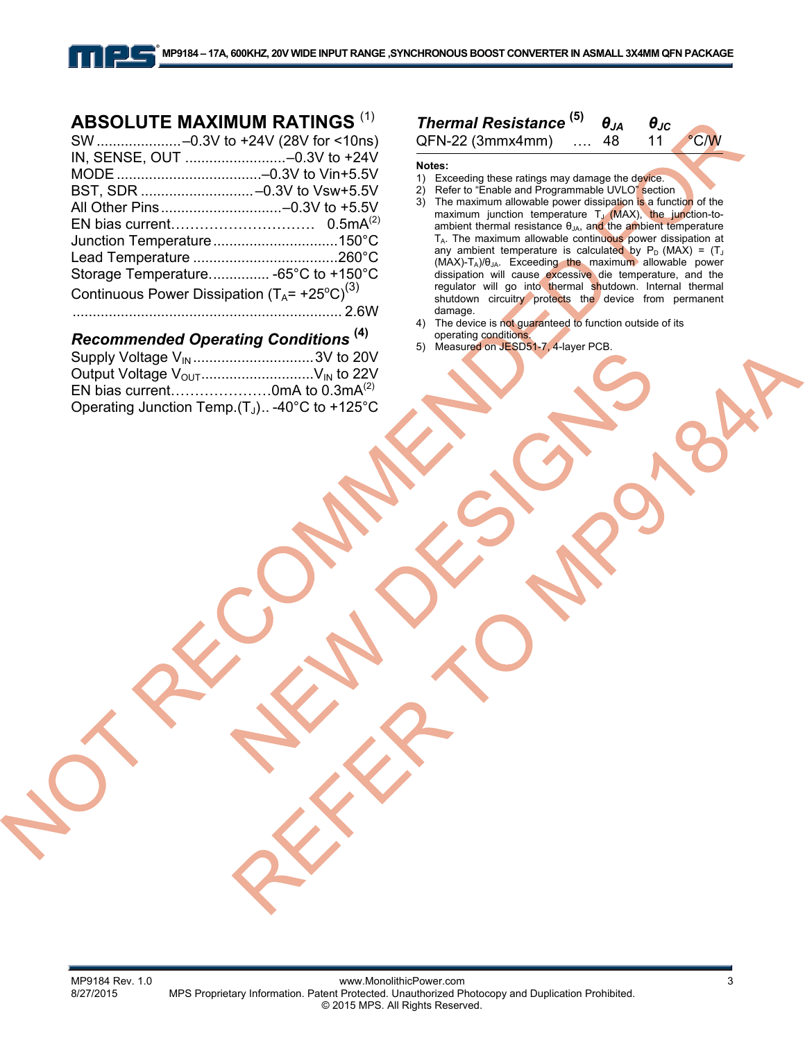# **ABSOLUTE MAXIMUM RATINGS (1)**

|                                                           | SW -0.3V to +24V (28V for <10ns)    |
|-----------------------------------------------------------|-------------------------------------|
|                                                           |                                     |
|                                                           |                                     |
|                                                           |                                     |
|                                                           |                                     |
|                                                           |                                     |
|                                                           |                                     |
|                                                           |                                     |
|                                                           | Storage Temperature -65°C to +150°C |
| Continuous Power Dissipation $(T_A = +25^{\circ}C)^{(3)}$ |                                     |
|                                                           |                                     |

### *Recommended Operating Conditions* **(4)**

| Operating Junction Temp. $(T_J)$ -40°C to +125°C |
|--------------------------------------------------|
|                                                  |

# *Thermal Resistance* **(5)** *θJA θJC*

| QFN-22 (3mmx4mm) | -48 | $\degree$ C/W |
|------------------|-----|---------------|
|------------------|-----|---------------|

**Notes:** 

- 1) Exceeding these ratings may damage the device.
- 2) Refer to "Enable and Programmable UVLO" section<br>3) The maximum allowable power dissipation is a funct
- The maximum allowable power dissipation is a function of the maximum junction temperature TJ (MAX), the junction-toambient thermal resistance θ<sub>JA</sub>, and the ambient temperature T<sub>A</sub>. The maximum allowable continuous power dissipation at any ambient temperature is calculated by  $P_D$  (MAX) =  $(T_J$  $(MAX)-T_A)/\theta_{JA}$ . Exceeding the maximum allowable power dissipation will cause excessive die temperature, and the regulator will go into thermal shutdown. Internal thermal shutdown circuitry protects the device from permanent damage.
- 4) The device is not guaranteed to function outside of its operating conditions.
- 5) Measured on JESD51-7, 4-layer PCB.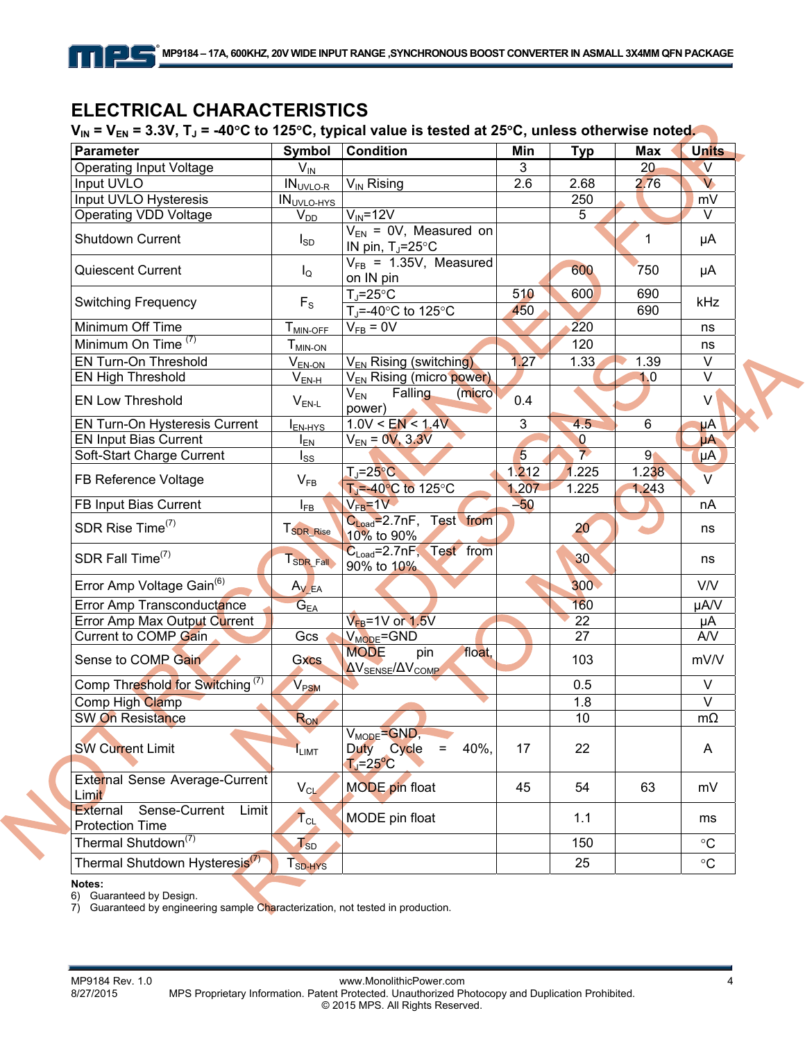# **ELECTRICAL CHARACTERISTICS**

V<sub>IN</sub> = V<sub>EN</sub> = 3.3V, T<sub>J</sub> = -40°C to 125°C, typical value is tested at 25°C, unless otherwise noted.

| <b>Parameter</b>                                                    | Symbol                | <b>Condition</b>                                                           | Min            | <b>Typ</b>               | Max            | <b>Units</b>            |
|---------------------------------------------------------------------|-----------------------|----------------------------------------------------------------------------|----------------|--------------------------|----------------|-------------------------|
| <b>Operating Input Voltage</b>                                      | $V_{\text{IN}}$       |                                                                            | 3              |                          | 20             | $\mathsf{V}$            |
| Input UVLO                                                          | $INUVLO-R$            | $V_{IN}$ Rising                                                            | 2.6            | 2.68                     | 2.76           | $\overline{\mathsf{v}}$ |
| Input UVLO Hysteresis                                               | <b>INUVLO-HYS</b>     |                                                                            |                | 250                      |                | mV                      |
| Operating VDD Voltage                                               | $V_{DD}$              | $V_{IN} = 12V$                                                             |                | 5                        |                | V                       |
| Shutdown Current                                                    | $I_{SD}$              | $V_{EN}$ = 0V, Measured on<br>IN pin, $T_J = 25^{\circ}C$                  |                |                          | 1              | μA                      |
| <b>Quiescent Current</b>                                            | $I_{\mathsf{Q}}$      | $V_{FB}$ = 1.35V, Measured<br>on IN pin                                    |                | 600                      | 750            | μA                      |
| <b>Switching Frequency</b>                                          | $F_{S}$               | $T_J = 25$ °C<br>T <sub>J</sub> =-40 $^{\circ}$ C to 125 $^{\circ}$ C      | 510<br>450     | 600                      | 690<br>690     | kHz                     |
| Minimum Off Time                                                    | $T_{MIN-OFE}$         | $V_{FB} = 0V$                                                              |                | 220                      |                | ns                      |
| Minimum On Time <sup>(7)</sup>                                      | $T_{MIN-ON}$          |                                                                            |                | 120                      |                | ns                      |
| EN Turn-On Threshold                                                | $V_{EN-ON}$           | V <sub>EN</sub> Rising (switching)                                         | 1.27           | 1.33                     | 1.39           | $\vee$                  |
| <b>EN High Threshold</b>                                            | $V_{EN-H}$            | V <sub>EN</sub> Rising (micro power)                                       |                |                          | 1.0            | $\vee$                  |
| <b>EN Low Threshold</b>                                             | $V_{EN-L}$            | $\mathsf{V}_\mathsf{EN}$<br>Falling<br>(micro)<br>power)                   | 0.4            |                          |                | V                       |
| EN Turn-On Hysteresis Current                                       | I <sub>EN-HYS</sub>   | 1.0V < EN < 1.4V                                                           | 3              | 4.5                      | 6              | μA                      |
| <b>EN Input Bias Current</b>                                        | $I_{EN}$              | $V_{EN} = 0V, 3.3V$                                                        |                | $\bf{0}$                 |                | μA                      |
| Soft-Start Charge Current                                           | $I_{SS}$              |                                                                            | 5              | $\overline{\phantom{a}}$ | 9 <sub>1</sub> | μΑ                      |
| FB Reference Voltage                                                | $V_{FB}$              | $T_J = 25^{\circ}C$<br>$TJ=-40°C$ to 125°C                                 | 1.212<br>1.207 | 1.225<br>1.225           | 1.238<br>1.243 | $\vee$                  |
| FB Input Bias Current                                               | $I_{FB}$              | $V_{FB} = 1V$                                                              | $-50$          |                          |                | nA                      |
| SDR Rise Time <sup>(7)</sup>                                        | T <sub>SDR_Rise</sub> | C <sub>Load</sub> =2.7nF, Test from<br>10% to 90%                          |                | 20 <sup>°</sup>          |                | ns                      |
| SDR Fall Time <sup>(7)</sup>                                        | T <sub>SDR_Fall</sub> | $C_{Load} = 2.7nF$ , Test from<br>90% to 10%                               |                | 30                       |                | ns                      |
| Error Amp Voltage Gain <sup>(6)</sup>                               | $A_V_{EA}$            |                                                                            |                | 300                      |                | V/V                     |
| Error Amp Transconductance                                          | $G_{E\underline{A}}$  |                                                                            |                | 160                      |                | µA/V                    |
| Error Amp Max Output Current                                        |                       | $V_{FB}$ =1V or 1.5V                                                       |                | 22                       |                | μA                      |
| Current to COMP Gain                                                | Gcs                   | $V_{MODE} = GND$                                                           |                | 27                       |                | A/V                     |
| Sense to COMP Gain                                                  | <b>Gxcs</b>           | <b>MODE</b><br>pin<br>float,<br>$\Delta V_{\rm SENSE}/\Delta V_{\rm COMP}$ |                | 103                      |                | mV/V                    |
| Comp Threshold for Switching <sup>(7)</sup>                         | V <sub>PSM</sub>      |                                                                            |                | 0.5                      |                | $\vee$                  |
| Comp High Clamp                                                     |                       |                                                                            |                | 1.8                      |                | $\vee$                  |
| SW On Resistance                                                    | RON                   |                                                                            |                | 10                       |                | $m\Omega$               |
| <b>SW Current Limit</b>                                             | <b>ILIMT</b>          | $V_{MODE} = GND$ ,<br>Duty Cycle<br>40%,<br>$=$<br>$TJ=25oC$               | 17             | 22                       |                | A                       |
| External Sense Average-Current<br>Limit                             | $V_{CL}$              | <b>MODE</b> pin float                                                      | 45             | 54                       | 63             | mV                      |
| Sense-Current<br>External<br><b>Limit</b><br><b>Protection Time</b> | $T_{\text{CL}}$       | MODE pin float                                                             |                | 1.1                      |                | ms                      |
| Thermal Shutdown <sup>(7)</sup>                                     | $T_{SD}$              |                                                                            |                | 150                      |                | $\rm ^{\circ}C$         |
| Thermal Shutdown Hysteresis <sup>(7)</sup>                          | T <sub>SD-HYS</sub>   |                                                                            |                | 25                       |                | $\circ$ C               |

**Notes:** 

6) Guaranteed by Design.

7) Guaranteed by engineering sample Characterization, not tested in production.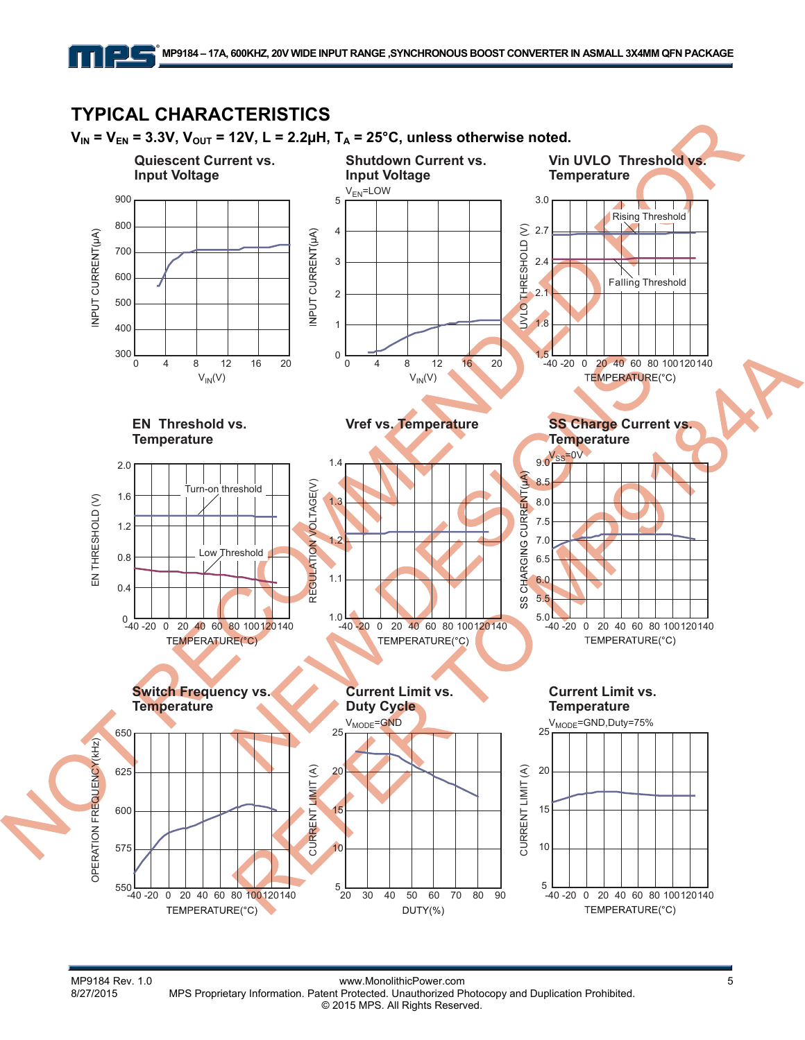

MP9184 Rev. 1.0<br>B/27/2015 MPS Proprietary Information. Patent Protected. Unauthorized Photocopy and Duplication Prohibited. MPS Proprietary Information. Patent Protected. Unauthorized Photocopy and Duplication Prohibited. © 2015 MPS. All Rights Reserved.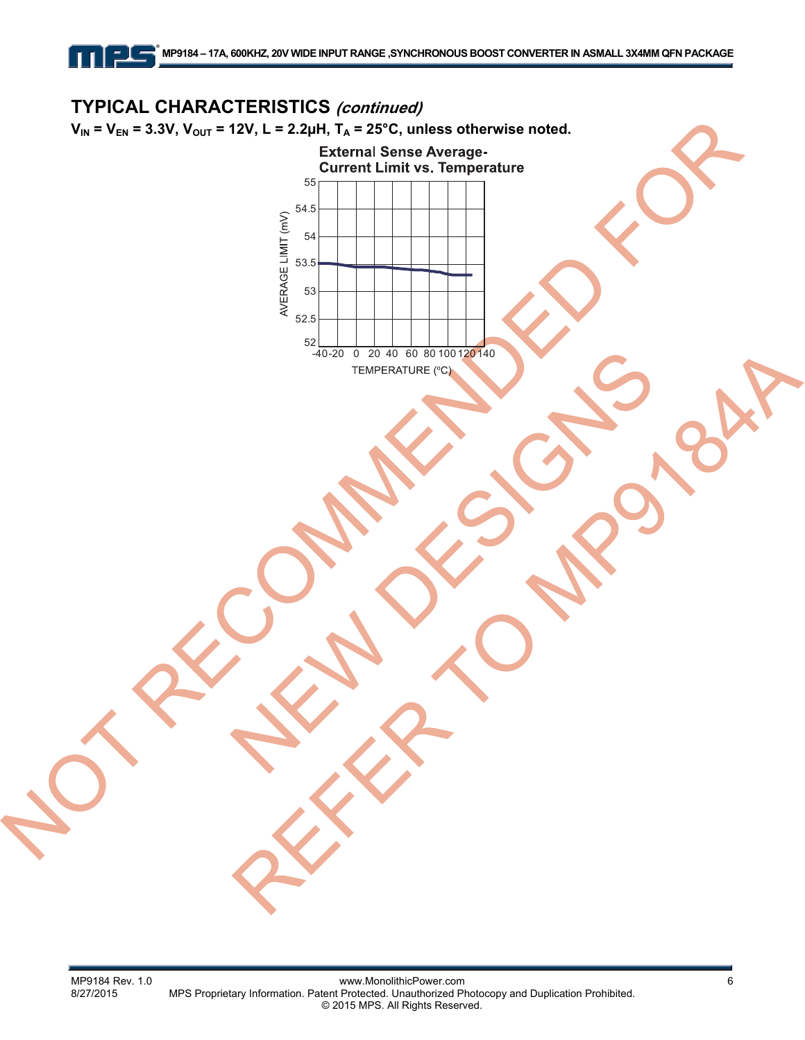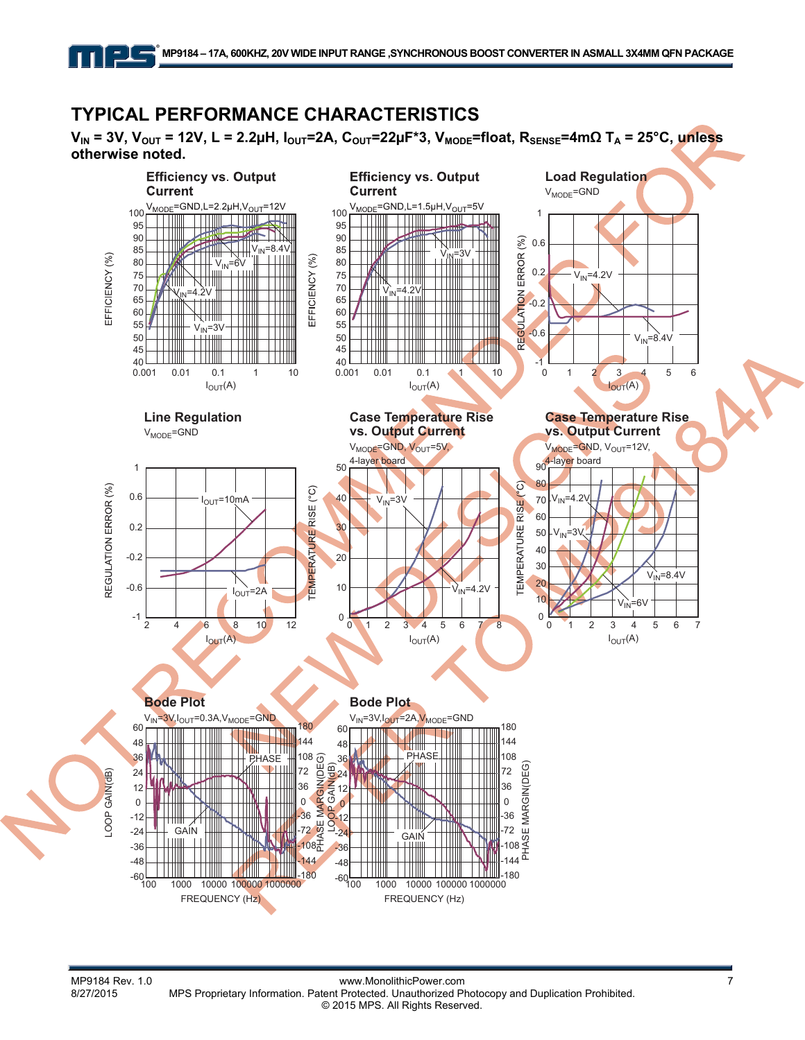# **TYPICAL PERFORMANCE CHARACTERISTICS**

 $V_{IN}$  = 3V,  $V_{OUT}$  = 12V, L = 2.2μH,  $I_{OUT}$  = 2A,  $C_{OUT}$  = 22μF<sup>\*</sup>3,  $V_{MODE}$  = float,  $R_{SENS}$  = 4mΩ T<sub>A</sub> = 25°C, unless **otherwise noted.**

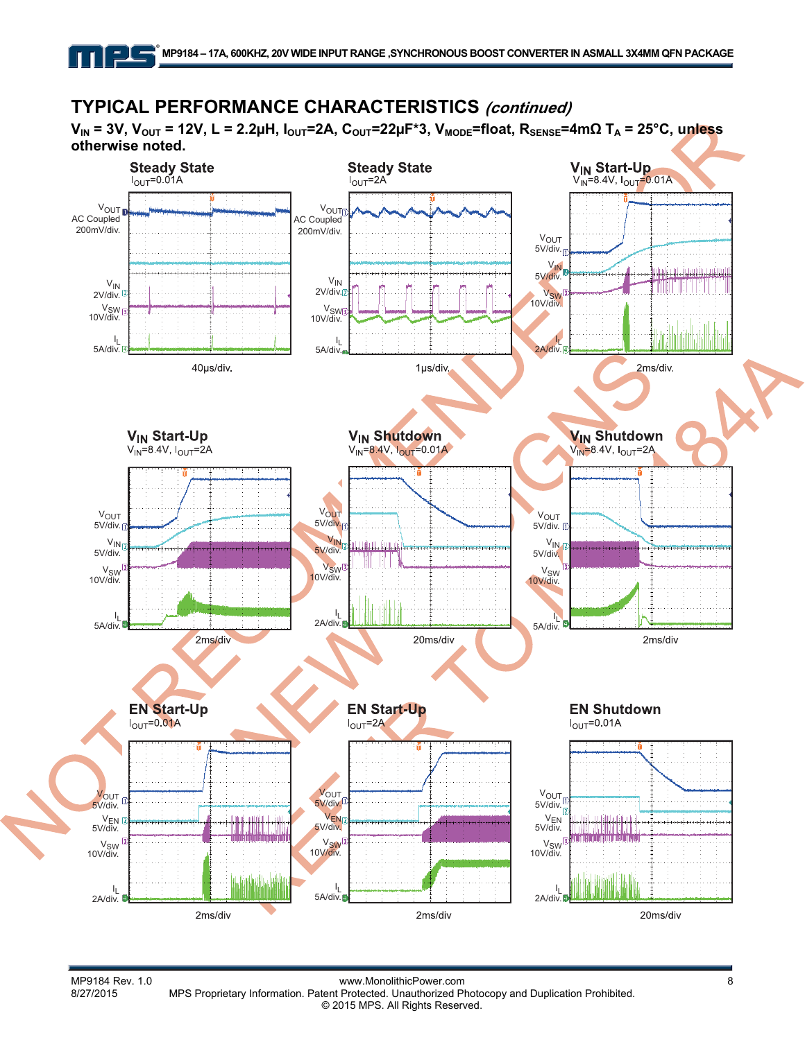# **TYPICAL PERFORMANCE CHARACTERISTICS (continued)**

**V<sub>IN</sub> = 3V, V<sub>OUT</sub> = 12V, L = 2.2μH, I<sub>OUT</sub>=2A, C<sub>OUT</sub>=22μF\*3, V<sub>MODE</sub>=float, R<sub>SENSE</sub>=4mΩ T<sub>A</sub> = 25°C, unless otherwise noted.**



MP9184 Rev. 1.0 **MP9184 Rev. 1.0** www.MonolithicPower.com **www.MonolithicPower.com** 8<br>8/27/2015 MPS Proprietary Information. Patent Protected. Unauthorized Photocopy and Duplication Prohibited. MPS Proprietary Information. Patent Protected. Unauthorized Photocopy and Duplication Prohibited. © 2015 MPS. All Rights Reserved.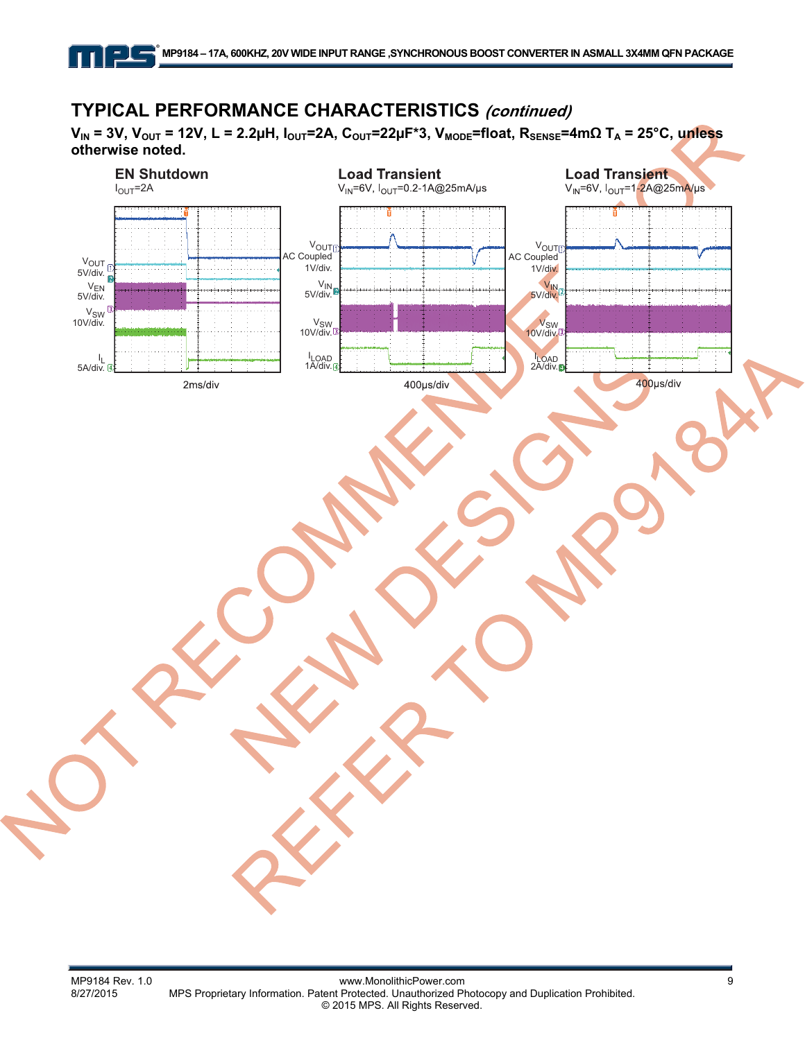# **TYPICAL PERFORMANCE CHARACTERISTICS (continued)**

**VIN = 3V, VOUT = 12V, L = 2.2µH, IOUT=2A, COUT=22µF\*3, VMODE=float, RSENSE=4mΩ TA = 25°C, unless otherwise noted.** 

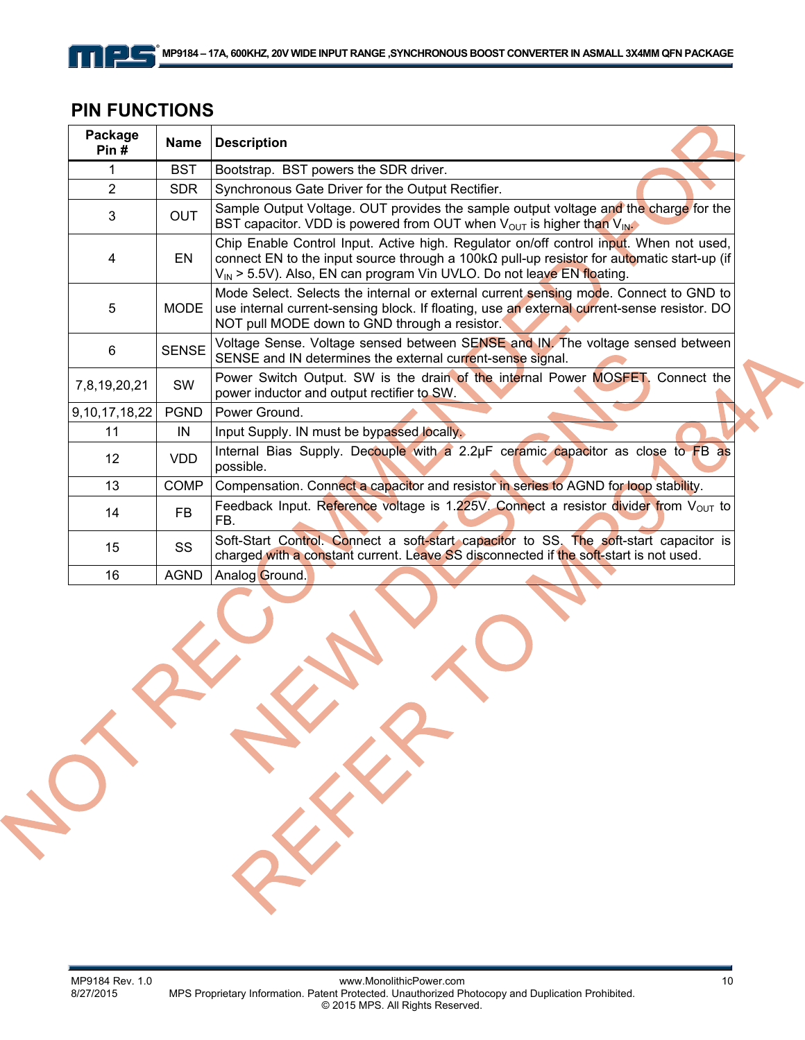# <u>ple</u>

| <b>PIN FUNCTIONS</b> |  |
|----------------------|--|
|----------------------|--|

| Package<br>Pin#   | <b>Name</b>  | <b>Description</b>                                                                                                                                                                                                                                                                |
|-------------------|--------------|-----------------------------------------------------------------------------------------------------------------------------------------------------------------------------------------------------------------------------------------------------------------------------------|
| 1                 | <b>BST</b>   | Bootstrap. BST powers the SDR driver.                                                                                                                                                                                                                                             |
| $\overline{2}$    | <b>SDR</b>   | Synchronous Gate Driver for the Output Rectifier.                                                                                                                                                                                                                                 |
| 3                 | <b>OUT</b>   | Sample Output Voltage. OUT provides the sample output voltage and the charge for the<br>BST capacitor. VDD is powered from OUT when $V_{OUT}$ is higher than $V_{IN}$ .                                                                                                           |
| 4                 | EN           | Chip Enable Control Input. Active high. Regulator on/off control input. When not used,<br>connect EN to the input source through a 100k $\Omega$ pull-up resistor for automatic start-up (if<br>V <sub>IN</sub> > 5.5V). Also, EN can program Vin UVLO. Do not leave EN floating. |
| 5                 | <b>MODE</b>  | Mode Select. Selects the internal or external current sensing mode. Connect to GND to<br>use internal current-sensing block. If floating, use an external current-sense resistor. DO<br>NOT pull MODE down to GND through a resistor.                                             |
| 6                 | <b>SENSE</b> | Voltage Sense. Voltage sensed between SENSE and IN. The voltage sensed between<br>SENSE and IN determines the external current-sense signal.                                                                                                                                      |
| 7,8,19,20,21      | <b>SW</b>    | Power Switch Output. SW is the drain of the internal Power MOSFET. Connect the<br>power inductor and output rectifier to SW.                                                                                                                                                      |
| 9, 10, 17, 18, 22 | <b>PGND</b>  | Power Ground.                                                                                                                                                                                                                                                                     |
| 11                | IN           | Input Supply. IN must be bypassed locally.                                                                                                                                                                                                                                        |
| $12 \overline{ }$ | <b>VDD</b>   | Internal Bias Supply. Decouple with a 2.2µF ceramic capacitor as close to FB as<br>possible.                                                                                                                                                                                      |
| 13                | <b>COMP</b>  | Compensation. Connect a capacitor and resistor in series to AGND for loop stability.                                                                                                                                                                                              |
| 14                | <b>FB</b>    | Feedback Input. Reference voltage is 1.225V. Connect a resistor divider from $V_{\text{OUT}}$ to<br>FB.                                                                                                                                                                           |
| 15                | SS           | Soft-Start Control. Connect a soft-start capacitor to SS. The soft-start capacitor is<br>charged with a constant current. Leave SS disconnected if the soft-start is not used.                                                                                                    |
| 16                | <b>AGND</b>  | Analog Ground.                                                                                                                                                                                                                                                                    |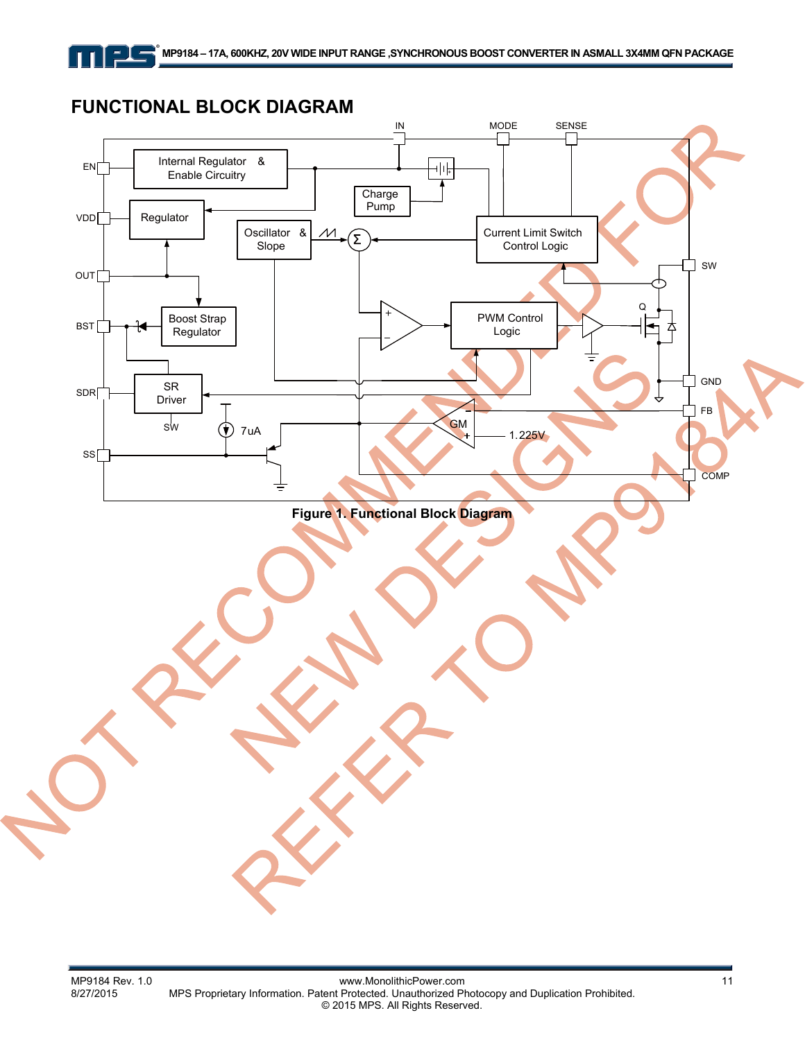## **FUNCTIONAL BLOCK DIAGRAM**

<u>- 1 - </u>

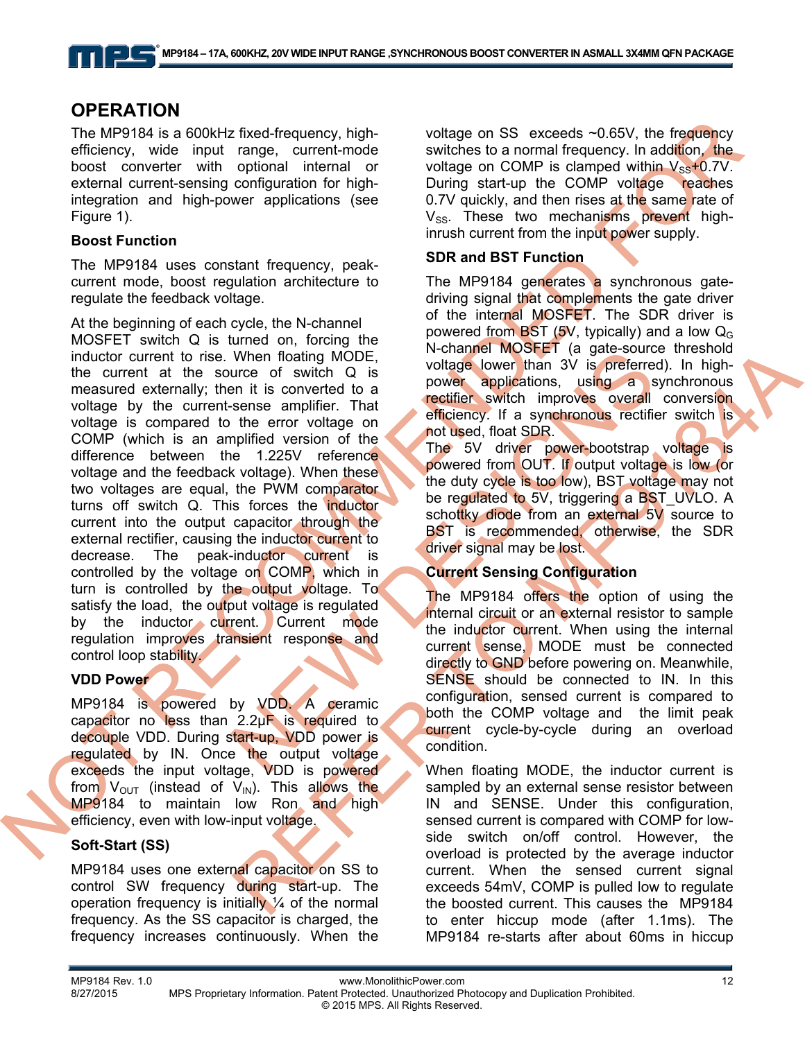### **OPERATION**

<u>- J - </u>

The MP9184 is a 600kHz fixed-frequency, highefficiency, wide input range, current-mode boost converter with optional internal or external current-sensing configuration for highintegration and high-power applications (see Figure 1).

### **Boost Function**

The MP9184 uses constant frequency, peakcurrent mode, boost regulation architecture to regulate the feedback voltage.

At the beginning of each cycle, the N-channel MOSFET switch Q is turned on, forcing the inductor current to rise. When floating MODE, the current at the source of switch Q is measured externally; then it is converted to a voltage by the current-sense amplifier. That voltage is compared to the error voltage on COMP (which is an amplified version of the difference between the 1.225V reference voltage and the feedback voltage). When these two voltages are equal, the PWM comparator turns off switch Q. This forces the inductor current into the output capacitor through the external rectifier, causing the inductor current to decrease. The peak-inductor current is controlled by the voltage on COMP, which in turn is controlled by the output voltage. To satisfy the load, the output voltage is regulated by the inductor current. Current mode regulation improves transient response and control loop stability.

### **VDD Power**

MP9184 is powered by VDD. A ceramic capacitor no less than  $2.2\mu$ F is required to decouple VDD. During start-up, VDD power is regulated by IN. Once the output voltage exceeds the input voltage, VDD is powered from  $V_{\text{OUT}}$  (instead of  $V_{\text{IN}}$ ). This allows the MP9184 to maintain low Ron and high efficiency, even with low-input voltage.

### **Soft-Start (SS)**

MP9184 uses one external capacitor on SS to control SW frequency during start-up. The operation frequency is initially  $\frac{1}{4}$  of the normal frequency. As the SS capacitor is charged, the frequency increases continuously. When the

voltage on  $SS$  exceeds  $\sim 0.65V$ , the frequency switches to a normal frequency. In addition, the voltage on COMP is clamped within  $V_{SS}$ +0.7V. During start-up the COMP voltage reaches 0.7V quickly, and then rises at the same rate of V<sub>SS</sub>. These two mechanisms prevent highinrush current from the input power supply.

### **SDR and BST Function**

The MP9184 generates a synchronous gatedriving signal that complements the gate driver of the internal MOSFET. The SDR driver is powered from **BST** (5V, typically) and a low  $Q<sub>G</sub>$ N-channel MOSFET (a gate-source threshold voltage lower than 3V is preferred). In highpower applications, using a synchronous rectifier switch improves overall conversion efficiency. If a synchronous rectifier switch is not used, float SDR.

The 5V driver power-bootstrap voltage is powered from OUT. If output voltage is low (or the duty cycle is too low), BST voltage may not be regulated to 5V, triggering a BST UVLO. A schottky diode from an external 5V source to BST is recommended, otherwise, the SDR driver signal may be lost.

### **Current Sensing Configuration**

The MP9184 offers the option of using the internal circuit or an external resistor to sample the inductor current. When using the internal current sense, MODE must be connected directly to GND before powering on. Meanwhile, SENSE should be connected to IN. In this configuration, sensed current is compared to both the COMP voltage and the limit peak current cycle-by-cycle during an overload condition.

When floating MODE, the inductor current is sampled by an external sense resistor between IN and SENSE. Under this configuration, sensed current is compared with COMP for lowside switch on/off control. However, the overload is protected by the average inductor current. When the sensed current signal exceeds 54mV, COMP is pulled low to regulate the boosted current. This causes the MP9184 to enter hiccup mode (after 1.1ms). The MP9184 re-starts after about 60ms in hiccup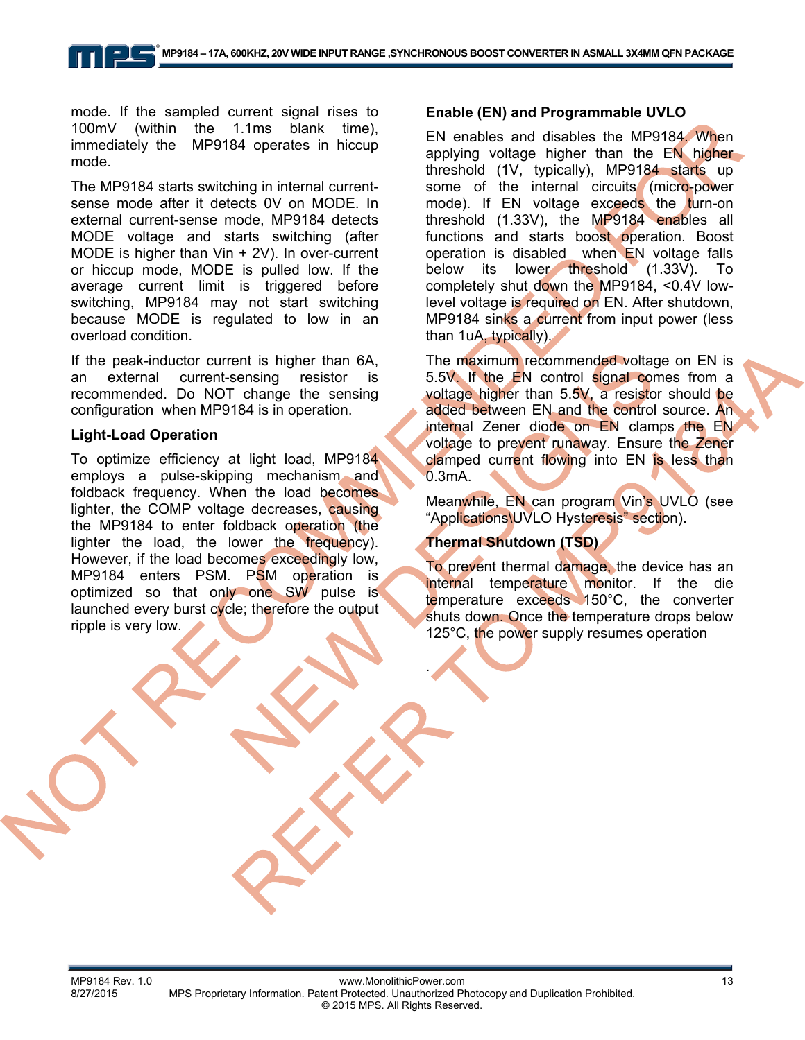mode. If the sampled current signal rises to 100mV (within the 1.1ms blank time), immediately the MP9184 operates in hiccup mode.

The MP9184 starts switching in internal currentsense mode after it detects 0V on MODE. In external current-sense mode, MP9184 detects MODE voltage and starts switching (after MODE is higher than Vin + 2V). In over-current or hiccup mode, MODE is pulled low. If the average current limit is triggered before switching, MP9184 may not start switching because MODE is regulated to low in an overload condition.

If the peak-inductor current is higher than 6A, an external current-sensing resistor is recommended. Do NOT change the sensing configuration when MP9184 is in operation.

#### **Light-Load Operation**

To optimize efficiency at light load, MP9184 employs a pulse-skipping mechanism and foldback frequency. When the load becomes lighter, the COMP voltage decreases, causing the MP9184 to enter foldback operation (the lighter the load, the lower the frequency). However, if the load becomes exceedingly low, MP9184 enters PSM. PSM operation is optimized so that only one SW pulse is launched every burst cycle; therefore the output ripple is very low.

### **Enable (EN) and Programmable UVLO**

EN enables and disables the MP9184. When applying voltage higher than the EN higher threshold (1V, typically), MP9184 starts up some of the internal circuits (micro-power mode). If EN voltage exceeds the turn-on threshold (1.33V), the MP9184 enables all functions and starts boost operation. Boost operation is disabled when EN voltage falls below its lower threshold (1.33V). To completely shut down the MP9184, <0.4V lowlevel voltage is required on EN. After shutdown, MP9184 sinks a current from input power (less than 1uA, typically).

The maximum recommended voltage on EN is 5.5V. If the EN control signal comes from a voltage higher than 5.5V, a resistor should be added between EN and the control source. An internal Zener diode on EN clamps the EN voltage to prevent runaway. Ensure the Zener clamped current flowing into EN is less than 0.3mA.

Meanwhile, EN can program Vin's UVLO (see "Applications\UVLO Hysteresis" section).

### **Thermal Shutdown (TSD)**

To prevent thermal damage, the device has an internal temperature monitor. If the die temperature exceeds 150°C, the converter shuts down. Once the temperature drops below 125°C, the power supply resumes operation

.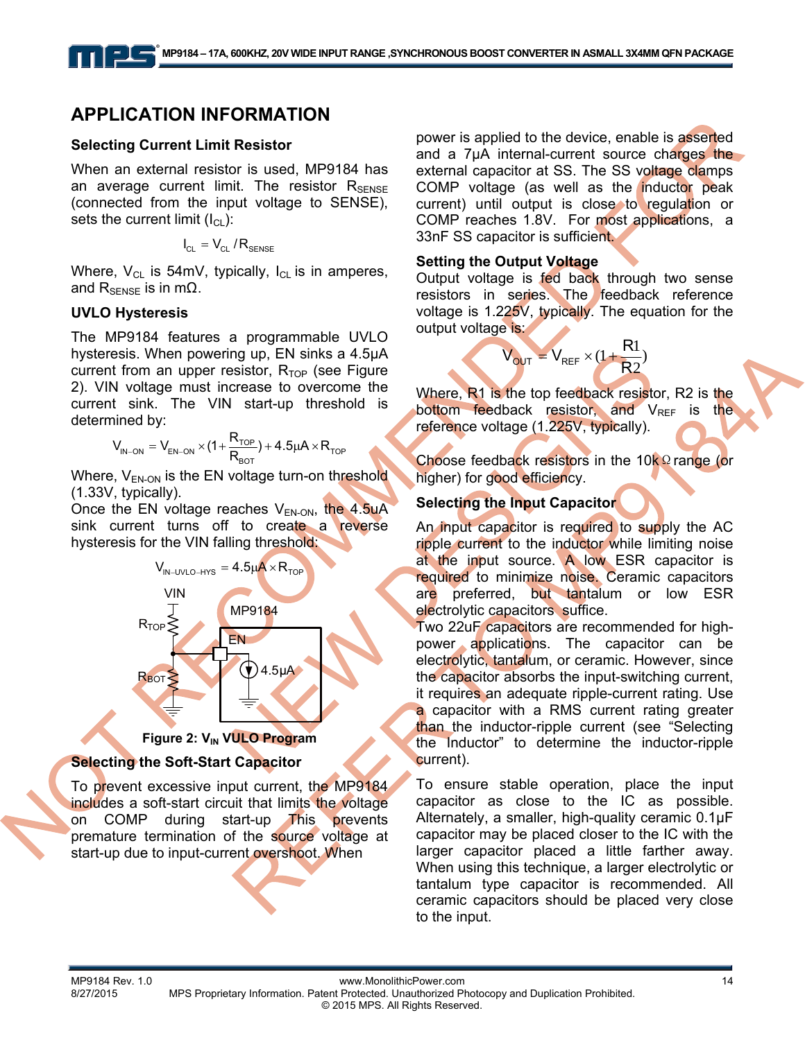### **APPLICATION INFORMATION**

#### **Selecting Current Limit Resistor**

When an external resistor is used, MP9184 has an average current limit. The resistor  $R_{\text{SENSE}}$ (connected from the input voltage to SENSE), sets the current limit  $(I_{\text{Cl}})$ :

$$
I_{\text{CL}} = V_{\text{CL}} / R_{\text{SENSE}}
$$

Where,  $V_{CL}$  is 54mV, typically,  $I_{CL}$  is in amperes, and  $R_{\text{SENSE}}$  is in m $\Omega$ .

#### **UVLO Hysteresis**

The MP9184 features a programmable UVLO hysteresis. When powering up, EN sinks a 4.5μA current from an upper resistor,  $R_{TOP}$  (see Figure 2). VIN voltage must increase to overcome the current sink. The VIN start-up threshold is determined by:

$$
V_{\text{IN-ON}} = V_{\text{EN-ON}} \times \big(1 + \frac{R_{\text{TOP}}}{R_{\text{BOT}}}\big) + 4.5 \mu A \times R_{\text{TOP}}
$$

Where,  $V_{EN-ON}$  is the EN voltage turn-on threshold (1.33V, typically).

Once the EN voltage reaches  $V_{EN-ON}$ , the 4.5uA sink current turns off to create a reverse hysteresis for the VIN falling threshold:



#### **Figure 2: V<sub>IN</sub> VULO Program**

### **Selecting the Soft-Start Capacitor**

To prevent excessive input current, the MP9184 includes a soft-start circuit that limits the voltage on COMP during start-up This prevents premature termination of the source voltage at start-up due to input-current overshoot. When

power is applied to the device, enable is asserted and a 7uA internal-current source charges the external capacitor at SS. The SS voltage clamps COMP voltage (as well as the inductor peak current) until output is close to regulation or COMP reaches 1.8V. For most applications, a 33nF SS capacitor is sufficient.

#### **Setting the Output Voltage**

Output voltage is fed back through two sense resistors in series. The feedback reference voltage is 1.225V, typically. The equation for the output voltage is:

$$
V_{\text{OUT}} = V_{\text{REF}} \times (1 + \frac{R1}{R2})
$$

Where, R1 is the top feedback resistor, R2 is the bottom feedback resistor, and  $V_{REF}$  is the reference voltage (1.225V, typically).

Choose feedback resistors in the 10kΩ range (or higher) for good efficiency.

### **Selecting the Input Capacitor**

An input capacitor is required to supply the AC ripple current to the inductor while limiting noise at the input source. A low ESR capacitor is required to minimize noise. Ceramic capacitors are preferred, but tantalum or low ESR electrolytic capacitors suffice.

Two 22uF capacitors are recommended for highpower applications. The capacitor can be electrolytic, tantalum, or ceramic. However, since the capacitor absorbs the input-switching current, it requires an adequate ripple-current rating. Use a capacitor with a RMS current rating greater than the inductor-ripple current (see "Selecting the Inductor" to determine the inductor-ripple current).

To ensure stable operation, place the input capacitor as close to the IC as possible. Alternately, a smaller, high-quality ceramic 0.1μF capacitor may be placed closer to the IC with the larger capacitor placed a little farther away. When using this technique, a larger electrolytic or tantalum type capacitor is recommended. All ceramic capacitors should be placed very close to the input.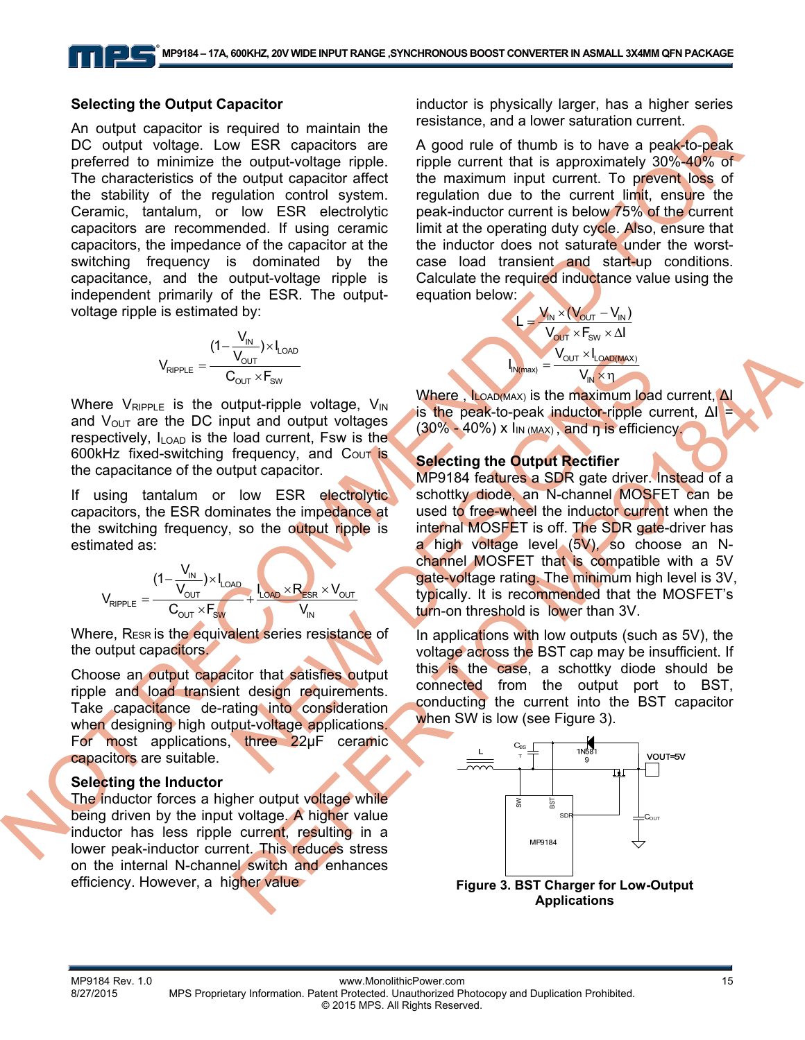#### **Selecting the Output Capacitor**

An output capacitor is required to maintain the DC output voltage. Low ESR capacitors are preferred to minimize the output-voltage ripple. The characteristics of the output capacitor affect the stability of the regulation control system. Ceramic, tantalum, or low ESR electrolytic capacitors are recommended. If using ceramic capacitors, the impedance of the capacitor at the switching frequency is dominated by the capacitance, and the output-voltage ripple is independent primarily of the ESR. The outputvoltage ripple is estimated by:

$$
V_{\text{RIPPLE}} = \frac{(1 - \frac{V_{\text{IN}}}{V_{\text{OUT}}}) \times I_{\text{LOAD}}}{C_{\text{OUT}} \times F_{\text{SW}}}
$$

Where  $V_{RIPPLE}$  is the output-ripple voltage,  $V_{IN}$ and  $V_{\text{OUT}}$  are the DC input and output voltages respectively,  $I_{\text{LOAD}}$  is the load current, Fsw is the 600kHz fixed-switching frequency, and Cour is the capacitance of the output capacitor.

If using tantalum or low ESR electrolytic capacitors, the ESR dominates the impedance at the switching frequency, so the output ripple is estimated as:

$$
V_{RIPPLE} = \frac{(1 - \frac{V_{IN}}{V_{OUT}}) \times I_{LOAD}}{C_{OUT} \times F_{sw}} + \frac{I_{LOAD} \times R_{ESR} \times V_{OUT}}{V_{IN}}
$$

Where, RESR is the equivalent series resistance of the output capacitors.

Choose an output capacitor that satisfies output ripple and load transient design requirements. Take capacitance de-rating into consideration when designing high output-voltage applications. For most applications, three 22μF ceramic capacitors are suitable.

### **Selecting the Inductor**

The inductor forces a higher output voltage while being driven by the input voltage. A higher value inductor has less ripple current, resulting in a lower peak-inductor current. This reduces stress on the internal N-channel switch and enhances efficiency. However, a higher value

inductor is physically larger, has a higher series resistance, and a lower saturation current.

A good rule of thumb is to have a peak-to-peak ripple current that is approximately 30%-40% of the maximum input current. To prevent loss of regulation due to the current limit, ensure the peak-inductor current is below 75% of the current limit at the operating duty cycle. Also, ensure that the inductor does not saturate under the worstcase load transient and start-up conditions. Calculate the required inductance value using the equation below:

$$
L = \frac{V_{in} \times (V_{out} - V_{in})}{V_{out} \times F_{sw} \times \Delta I}
$$

$$
I_{in(max)} = \frac{V_{out} \times I_{LoAD(MAX)}}{V_{in} \times \eta}
$$

Where, ILOAD(MAX) is the maximum load current, ΔΙ is the peak-to-peak inductor-ripple current,  $ΔI =$  $(30\% - 40\%)$  x  $\ln(\text{MAX})$ , and n is efficiency.

### **Selecting the Output Rectifier**

MP9184 features a SDR gate driver. Instead of a schottky diode, an N-channel MOSFET can be used to free-wheel the inductor current when the internal MOSFET is off. The SDR gate-driver has a high voltage level (5V), so choose an Nchannel MOSFET that is compatible with a 5V gate-voltage rating. The minimum high level is 3V, typically. It is recommended that the MOSFET's turn-on threshold is lower than 3V.

In applications with low outputs (such as 5V), the voltage across the BST cap may be insufficient. If this is the case, a schottky diode should be connected from the output port to BST, conducting the current into the BST capacitor when SW is low (see Figure 3).



**Applications**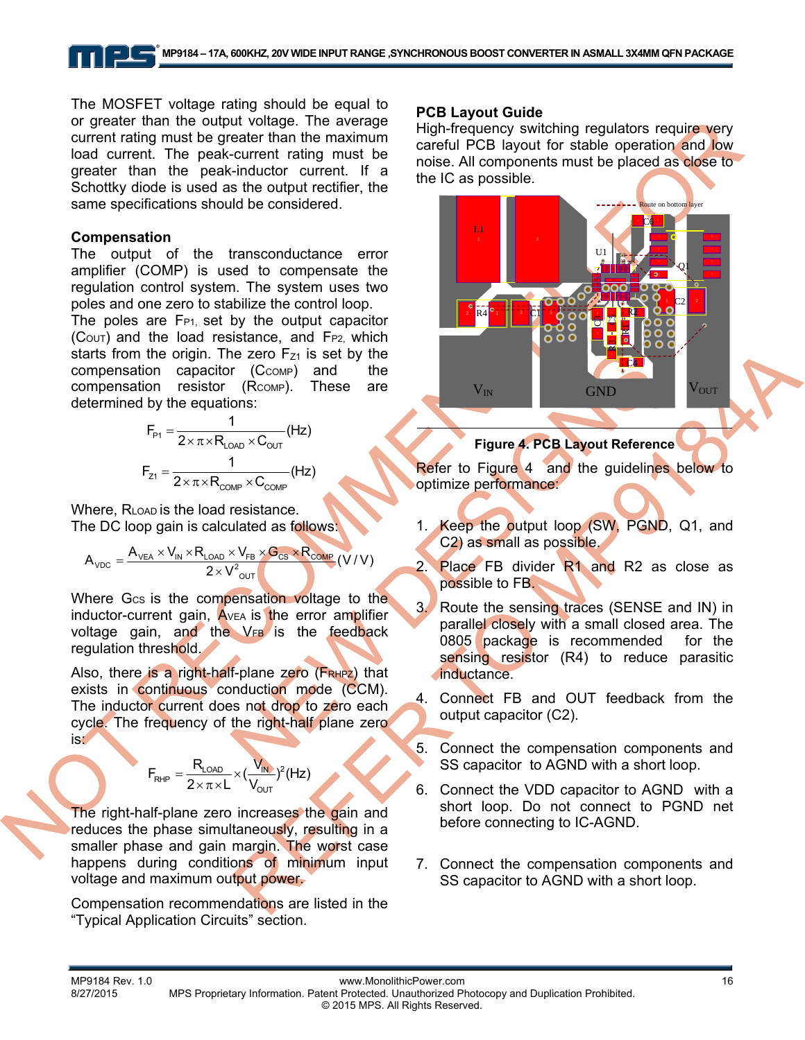The MOSFET voltage rating should be equal to or greater than the output voltage. The average current rating must be greater than the maximum load current. The peak-current rating must be greater than the peak-inductor current. If a Schottky diode is used as the output rectifier, the same specifications should be considered.

#### **Compensation**

The output of the transconductance error amplifier (COMP) is used to compensate the regulation control system. The system uses two poles and one zero to stabilize the control loop.

The poles are  $F_{P1}$ , set by the output capacitor  $(C_{\text{OUT}})$  and the load resistance, and  $F_{P2}$ , which starts from the origin. The zero  $F_{71}$  is set by the compensation capacitor (C<sub>COMP</sub>) and the compensation resistor (R<sub>COMP</sub>). These are determined by the equations:

$$
F_{P1} = \frac{1}{2 \times \pi \times R_{\text{LOAD}} \times C_{\text{OUT}}} (Hz)
$$

$$
F_{z1} = \frac{1}{2 \times \pi \times R_{\text{COMP}} \times C_{\text{COMP}}} (Hz)
$$

Where, RLOAD is the load resistance. The DC loop gain is calculated as follows:

$$
A_{_{VDC}}=\frac{A_{_{VEA}}\times V_{_{IN}}\times R_{_{LOAD}}\times V_{_{FB}}\times G_{_{CS}}\times R_{_{COMP}}}{2\times {V^2}_{_{OUT}}}\left(V/V\right)
$$

Where Gcs is the compensation voltage to the inductor-current gain, AVEA is the error amplifier voltage gain, and the VFB is the feedback regulation threshold.

Also, there is a right-half-plane zero (FRHPZ) that exists in continuous conduction mode (CCM). The inductor current does not drop to zero each cycle. The frequency of the right-half plane zero is:

$$
F_{\text{RHP}}=\frac{R_{\text{LOAD}}}{2\times\pi\times L}\!\times\!(\frac{V_{\text{IN}}}{V_{\text{OUT}}})^2(Hz)
$$

The right-half-plane zero increases the gain and reduces the phase simultaneously, resulting in a smaller phase and gain margin. The worst case happens during conditions of minimum input voltage and maximum output power.

Compensation recommendations are listed in the "Typical Application Circuits" section.

#### **PCB Layout Guide**

High-frequency switching regulators require very careful PCB layout for stable operation and low noise. All components must be placed as close to the IC as possible.



**Figure 4. PCB Layout Reference** 

Refer to Figure 4 and the guidelines below to optimize performance:

- 1. Keep the output loop (SW, PGND, Q1, and C2) as small as possible.
- 2. Place FB divider R1 and R2 as close as possible to FB.
- 3. Route the sensing traces (SENSE and IN) in parallel closely with a small closed area. The 0805 package is recommended for the sensing resistor (R4) to reduce parasitic inductance.
- 4. Connect FB and OUT feedback from the output capacitor (C2).
- 5. Connect the compensation components and SS capacitor to AGND with a short loop.
- 6. Connect the VDD capacitor to AGND with a short loop. Do not connect to PGND net before connecting to IC-AGND.
- 7. Connect the compensation components and SS capacitor to AGND with a short loop.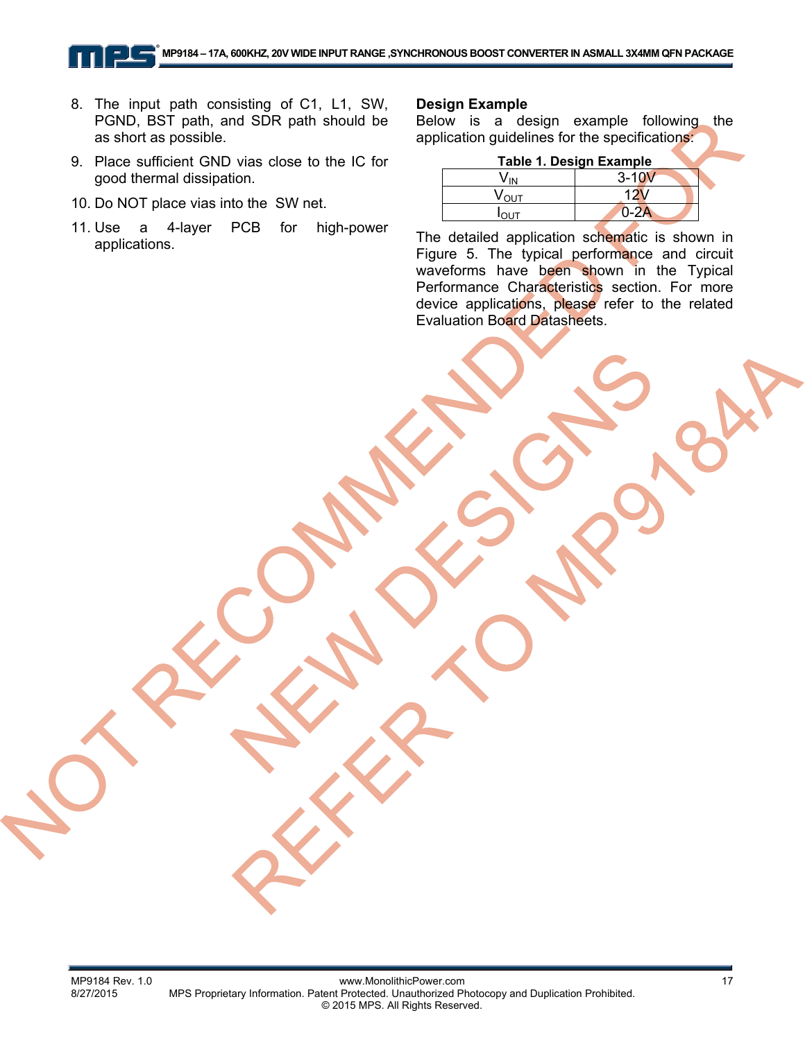- 8. The input path consisting of C1, L1, SW, PGND, BST path, and SDR path should be as short as possible.
- 9. Place sufficient GND vias close to the IC for good thermal dissipation.
- 10. Do NOT place vias into the SW net.
- 11. Use a 4-layer PCB for high-power applications.

#### **Design Example**

Below is a design example following the application guidelines for the specifications:

| <b>Table 1. Design Example</b> |           |  |
|--------------------------------|-----------|--|
|                                | $3 - 10V$ |  |
| V <sub>ουτ</sub>               |           |  |
|                                | $D-A$     |  |

The detailed application schematic is shown in Figure 5. The typical performance and circuit waveforms have been shown in the Typical Performance Characteristics section. For more device applications, please refer to the related Evaluation Board Datasheets.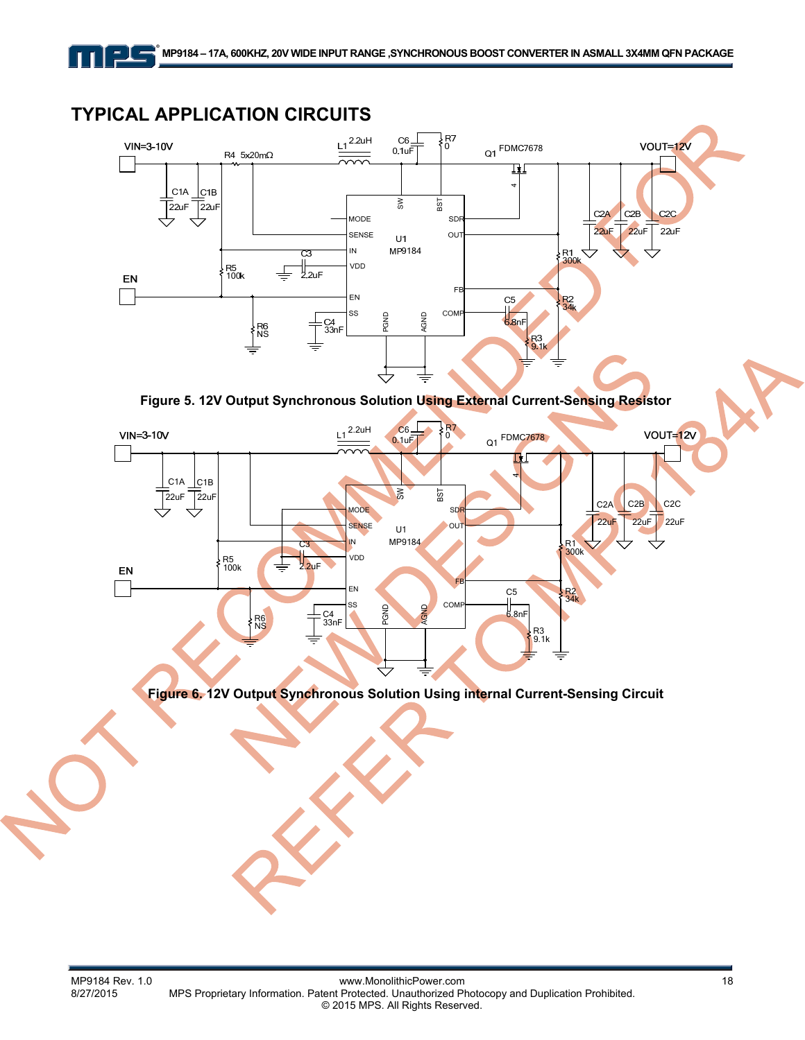# **TYPICAL APPLICATION CIRCUITS**

 $=$   $\mathbf{l}$   $=$ 



**Figure 5. 12V Output Synchronous Solution Using External Current-Sensing Resistor**



**Figure 6. 12V Output Synchronous Solution Using internal Current-Sensing Circuit**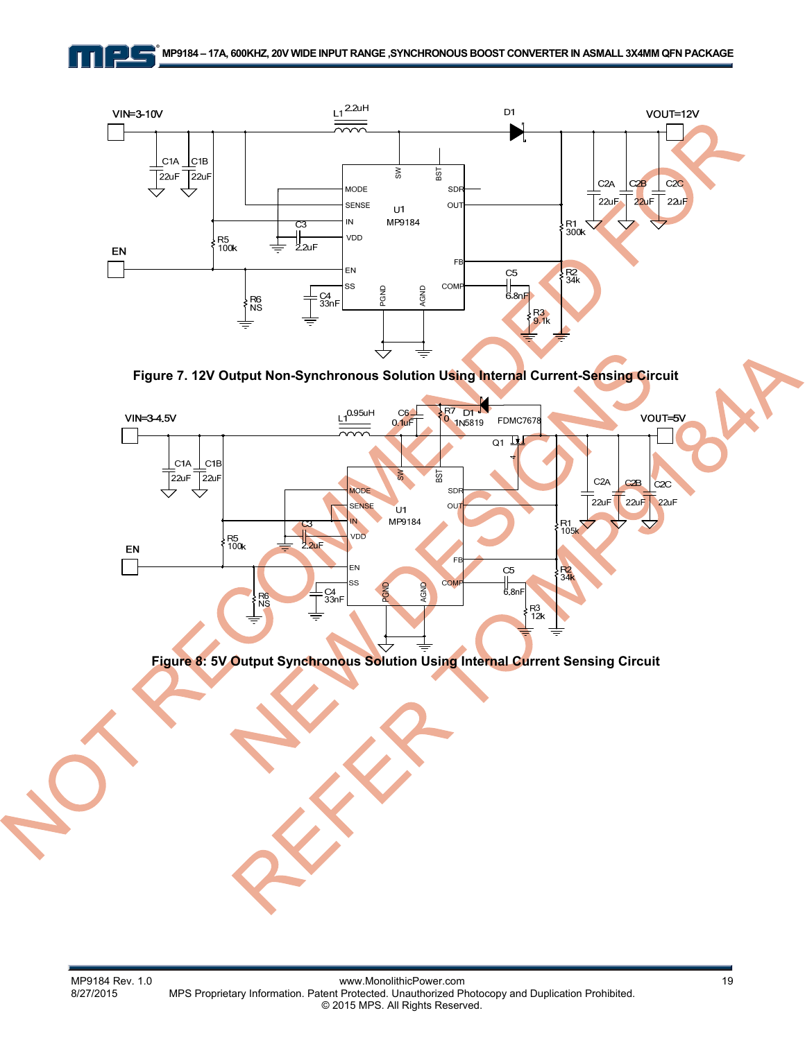$=$   $\parallel$   $=$ 



**Figure 7. 12V Output Non-Synchronous Solution Using Internal Current-Sensing Circuit** 



**Figure 8: 5V Output Synchronous Solution Using Internal Current Sensing Circuit**